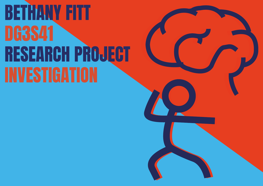### BETHANY FITT DG3S41 RESEARCH PROJECT INVESTIGATION

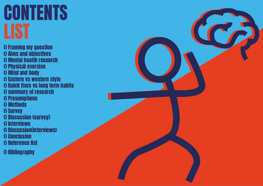### **CONTENTS** LIST

() Framing my question () Aims and objectives () Mental health research () Physical exercise () Mind and body () Eastern vs western style () Quick fixes vs long term habits () summary of research () Presumptions () Methods () Survey () Discussion (survey) () Interviews () Discussion(interviews) () Conclusion () Reference list

() Bibliography

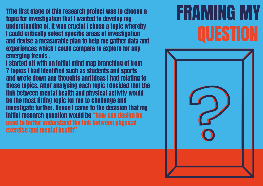

TThe first stage of this research project was to choose a topic for investigation that I wanted to develop my understanding of. It was crucial I chose a topic whereby I could critically select specific areas of investigation and devise a measurable plan to help me gather data and experiences which I could compare to explore for any emerging trends .

I started off with an initial mind map branching of from 7 topics I had Identified such as students and sports and wrote down any thoughts and Ideas I had relating to those topics. After analysing each topic I decided that the link between mental health and physical activity would be the most fitting topic for me to challenge and investigate further. Hence I came to the decision that my initial research question would be "how can design be used to better understand the link between physical exercise and mental health"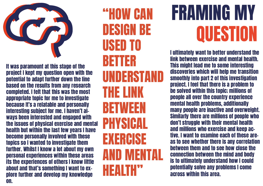# FRAMING MY QUESTION

### "HOW CAN DESIGN BE USED TO BETTER UNDERSTAND THE LINK BETWEEN PHYSICAL EXERCISE **AND MENT HEALTH"**



It was paramount at this stage of the project I kept my question open with the potential to adapt further down the line based on the results from any research completed. I felt that this was the most appropriate topic for me to investigate because It's a relatable and personally interesting subject for me. I haven't always been interested and engaged with the issues of physical exercise and mental health but within the last few years I have become personally involved with these topics so I wanted to investigate them further. Whilst I know a lot about my own personal experiences within these areas its the experiences of others I know little about and that's something I want to explore further and develop my knowledge on.

I ultimately want to better understand the link between exercise and mental health. This might lead me to some interesting discoveries which will help me transition smoothly into part 2 of this investigation project. I feel that there is a problem to be solved within this topic; millions of people all over the country experience mental health problems, additionally many people are inactive and overweight. Similarly there are millions of people who don't struggle with their mental health and millions who exercise and keep active. I want to examine each of these areas to see whether there is any correlation between them and to see how close the connection between the mind and body is to ultimately understand how I could potentially solve any problems I come across within this area.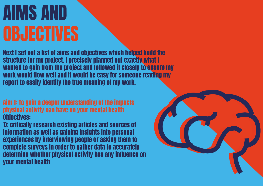# AIMS AND **OBJECTIVES**

Next I set out a list of aims and objectives which helped build the structure for my project. I precisely planned out exactly what I wanted to gain from the project and followed it closely to ensure my work would flow well and It would be easy for someone reading my report to easily identify the true meaning of my work.

Aim 1: To gain a deeper understanding of the impacts physical activity can have on your mental health Objectives:

1): critically research existing articles and sources of information as well as gaining insights into personal experiences by interviewing people or asking them to complete surveys in order to gather data to accurately determine whether physical activity has any influence on your mental health

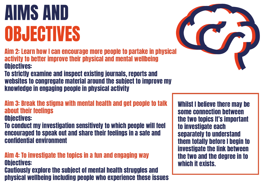### Whilst I believe there may be some connection between the two topics It's important to investigate each separately to understand them totally before I begin to investigate the link between the two and the degree in to

which it exists.



## AIMS AND OBJECTIVES

Aim 2: Learn how I can encourage more people to partake in physical activity to better improve their physical and mental wellbeing Objectives:

To strictly examine and inspect existing journals, reports and websites to congregate material around the subject to improve my knowledge in engaging people in physical activity

Aim 3: Break the stigma with mental health and get people to talk about their feelings

Objectives:

To conduct my investigation sensitively to which people will feel encouraged to speak out and share their feelings in a safe and confidential environment

Aim 4: To investigate the topics in a fun and engaging way Objectives: Cautiously explore the subject of mental health struggles and physical wellbeing including people who experience these issues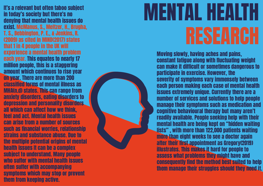It's a relevant but often taboo subject in today's society but there's no denying that mental health issues do exist. McManus, S., Meltzer, H., Brugha, T. S., Bebbington, P. E., & Jenkins, R. (2009) as cited in MIND(2017) states that 1 in 4 people in the UK will experience a mental health problem each year. This equates to nearly 17 million people, this is a staggering amount which continues to rise year on year. There are more than 200 classified forms of mental illness as MHA(n.d) states. This can range from anxiety disorders, eating disorders to depression and personality disorders all which can affect how we think. feel and act. Mental health issues can arise from a number of sources such as financial worries, relationship strains and substance abuse. Due to the multiple potential origins of mental health issues It can be a complex subject to understand. Many people who suffer with mental health issues often suffer with accompanying symptoms which may stop or prevent them from keeping active.

# MENTAL HEALTH **RESEARCH**

Moving slowly, having aches and pains, constant fatigue along with fluctuating weight can make it difficult or sometimes dangerous to participate in exercise. However, the severity of symptoms vary immensely between each person making each case of mental health issues extremely unique. Currently there are a number of services and solutions to help people manage their symptoms such as medication and cognitive behavioural therapy but many aren't readily available. People seeking help with their mental health are being kept on "hidden waiting lists" , with more than 122,000 patients waiting more than eight weeks to see a doctor again after their first appointment as Gregory(2019) illustrates. This makes it hard for people to assess what problems they might have and consequently find the method best suited to help them manage their struggles should they need it.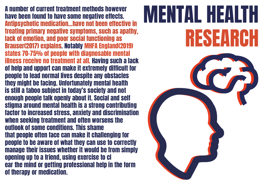

A number of current treatment methods however have been found to have some negative effects. Antipsychotic medication...have not been effective in treating primary negative symptoms, such as apathy, lack of emotion, and poor social functioning as Brauser(2017) explains. Notably MHFA England(2019) states 70-75% of people with diagnosable mental illness receive no treatment at all. Having such a lack of help and upport can make it extremely difficult for people to lead normal lives despite any obstacles they might be facing. Unfortunately mental health is still a taboo subject in today's society and not enough people talk openly about it. Social and self stigma around mental health is a strong contributing factor to increased stress, anxiety and discrimination when seeking treatment and often worsens the outlook of some conditions. This shame that people often face can make it challenging for people to be aware of what they can use to correctly manage their issues whether it would be from simply opening up to a friend, using exercise to cl ear the mind or getting professional help in the form of therapy or medication.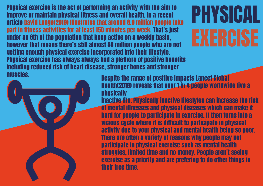# PHYSICAL EXERCISE

Despite the range of positive impacts Lancet Global Health(2018) reveals that over 1 in 4 people worldwide live a **physically** inactive life. Physically inactive lifestyles can increase the risk of mental illnesses and physical diseases which can make it hard for people to participate in exercise. It then turns into a vicious cycle where it is difficult to participate in physical activity due to your physical and mental health being so poor. There are often a variety of reasons why people may not participate in physical exercise such as mental health struggles, limited time and no money. People aren't seeing exercise as a priority and are prefering to do other things in their free time.

Physical exercise is the act of performing an activity with the aim to improve or maintain physical fitness and overall health. In a recent article David Lange(2019) Illustrates that around 8.9 million people take part in fitness activities for at least 150 minutes per week. That's just under an 8th of the population that keep active on a weekly basis, however that means there's still almost 58 million people who are not getting enough physical exercise incorporated into their lifestyle. Physical exercise has always always had a plethora of positive benefits including reduced risk of heart disease, stronger bones and stronger muscles.

![](_page_8_Picture_1.jpeg)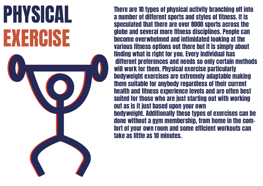# PHYSICAL EXERCISE

There are 10 types of physical activity branching off into a number of different sports and styles of fitness. It is speculated that there are over 8000 sports across the globe and several more fitness disciplines. People can become overwhelmed and intimidated looking at the various fitness options out there but it is simply about finding what is right for you. Every individual has different preferences and needs so only certain methods will work for them. Physical exercise particularly bodyweight exercises are extremely adaptable making them suitable for anybody regardless of their current health and fitness experience levels and are often best suited for those who are just starting out with working out as is it just based upon your own bodyweight. Additionally these types of exercises can be done without a gym membership, from home in the comfort of your own room and some efficient workouts can take as little as 10 minutes.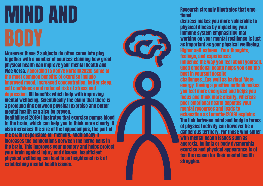# MIND AND

Moreover these 2 subjects do often come into play together with a number of sources claiming how great physical health can improve your mental health and vice versa. According to Active Norfolk(2020) some of the most common benefits of exercise include improved mood, Increased concentration, better sleep, self confidence and reduced risk of stress and depression. All benefits which help with improving mental wellbeing. Scientifically the claim that there is a profound link between physical exercise and better mental health can also be proven. HealthDirect(2019) illustrates that exercise pumps blood to the brain, which can help you to think more clearly. It also increases the size of the hippocampus, the part of the brain responsible for memory. Additionally it increases the connections between the nerve cells in the brain. This improves your memory and helps protect your brain against injury and disease. Insufficient physical wellbeing can lead to an heightened risk of establishing mental health issues.

### Research strongly illustrates that emo-

tional distress makes you more vulnerable to physical illness by impacting your immune system emphasizing that working on your mental resilience is just as important as your physical wellbeing. Higher self-esteem...Your thoughts, feelings, and experiences influence the way you feel about yourself. Good emotional health helps you see the best in yourself despite challenges…[as well as having] More energy. Having a positive outlook makes you feel more energized and helps you focus and think more clearly, whereas poor emotional health depletes your mental resources and leads to exhaustion as Lamothe(2019) explains. The link between mind and body in terms of physical activity can however be a dangerous territory. For those who suffer with mental health issues such as anorexia, bulimia or body dysmorphia exercise and physical appearance is often the reason for their mental health struggles.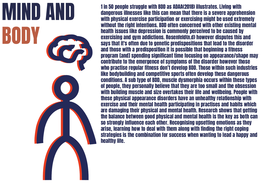![](_page_11_Picture_0.jpeg)

1 in 50 people struggle with BDD as ADAA(2018) illustrates. Living with dangerous illnesses like this can mean that there is a severe apprehension with physical exercise participation or exercising might be used extremely without the right intentions. BDD often concerned with other existing mental health issues like depression is commonly perceived to be caused by exercising and gym addictions. Rosenfeld(n.d) however disputes this and says that it's often due to genetic predispositions that lead to the disorder and those with a predisposition it is possible that beginning a fitness program [and] spending significant time focusing on appearance/shape may contribute to the emergence of symptoms of the disorder however those who practise regular fitness don't develop BDD. Those within such industries like bodybuilding and competitive sports often develop these dangerous conditions. A sub type of BDD, muscle dysmorphia occurs within these types of people, they personally believe that they are too small and the obsession with building muscle and size overtakes their life and wellbeing. People with these physical appearance disorders have an unhealthy relationship with exercise and their mental health participating in practises and habits which are damaging their physical and mental health. Research shows that getting the balance between good physical and mental health is the key as both can so strongly influence each other. Recognising upsetting emotions as they arise, learning how to deal with them along with finding the right coping strategies is the combination for success when wanting to lead a happy and healthy life.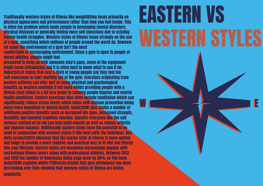# EASTERN VS

![](_page_12_Picture_4.jpeg)

Traditionally western styles of fitness like weightlifting focus primarily on physical appearance and performance rather than how you feel inside. This is often the problem which leads people to developing mental disorders, physical diseases or generally feeling more self conscious due to existing mental health struggles. Western styles of fitness focus strongly on the use of a gym, something which millions of people around the world do. However for some the environment of a gym isn't the most

comfortable or encouraging environment. Since a gym is open to people of mixed abilities, people might feel

pressured to keep up with someone else's pace, some of the equipment might seem intimidating and it is often hard to know what to use it for. Roberts(n.d) states that over a third of young people say they feel too self-conscious to start working out at the gym. Exercises originating from eastern cultures can offer just as many physical and psychological benefits as western methods if not more whilst providing people with a fitness style which is a lot less prone to causing people injuries and mental health conditions. Eastern exercises also often include meditation which can significantly reduce stress levels which helps with disease prevention being much more beneficial to mental health. Kane(2018) also states a number of additional positive benefits such as increased life span, increased strength, flexibility and boosted cognitive function. Specific exercises like the self defence method of tai chi can help build muscle as well as reduce arthritis and improve balance. Additionally eastern styles have the potential to be used in conjunction with western styles if this best suits the individual. Red delta project(2011) educates that the easten style of fitness is more unified and helps to provide a more realistic and practical way to fit diet and fitness into your lifestyle. Eastern styles are becoming increasingly popular with recreational fitness lovers along with professional athletes. Between 2012 and 2016 the number of Americans doing yoga grew by 50% as The Good Body(2018) explains whilst PTDirect(n.d)adds that gym attendance has been decreasing over time showing that western styles of fitness are losing popularity.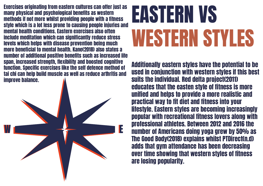# EASTERN VS WESTERN STYLES

![](_page_13_Picture_1.jpeg)

Exercises originating from eastern cultures can offer just as many physical and psychological benefits as western methods if not more whilst providing people with a fitness style which is a lot less prone to causing people injuries and mental health conditions. Eastern exercises also often include meditation which can significantly reduce stress levels which helps with disease prevention being much more beneficial to mental health. Kane(2018) also states a number of additional positive benefits such as increased life span, increased strength, flexibility and boosted cognitive function. Specific exercises like the self defence method of tai chi can help build muscle as well as reduce arthritis and improve balance.

Additionally eastern styles have the potential to be used in conjunction with western styles if this best suits the individual. Red delta project(2011) educates that the easten style of fitness is more unified and helps to provide a more realistic and practical way to fit diet and fitness into your lifestyle. Eastern styles are becoming increasingly popular with recreational fitness lovers along with professional athletes. Between 2012 and 2016 the number of Americans doing yoga grew by 50% as The Good Body(2018) explains whilst PTDirect(n.d) adds that gym attendance has been decreasing over time showing that western styles of fitness are losing popularity.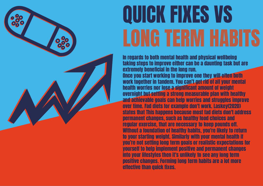![](_page_14_Picture_0.jpeg)

# QUICK FIXES VS LONG TERM HABITS

In regards to both mental health and physical wellbeing taking steps to improve either can be a daunting task but are extremely beneficial in the long run. Once you start working to improve one they will often both work together in tandem. You can't get rid of all your mental health worries nor lose a significant amount of weight overnight but setting a strong measurable plan with healthy and achievable goals can help worries and struggles improve over time. Fad diets for example don't work. Laskey(2020) states that This happens because most fad diets don't address permanent changes, such as healthy food choices and regular exercise, that are necessary to keep pounds off. Without a foundation of healthy habits, you're likely to return to your starting weight. Similarly with your mental health if you're not setting long term goals or realistic expectations for yourself to help implement positive and permanent changes into your lifestyles then it's unlikely to see any long term positive changes. Forming long term habits are a lot more effective than quick fixes.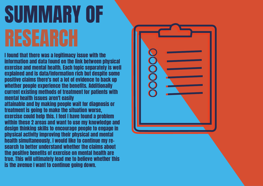# SUMMARY OF RESEARCH

I found that there was a legitimacy issue with the information and data found on the link between physical exercise and mental health. Each topic separately is well explained and is data/information rich but despite some positive claims there's not a lot of evidence to back up whether people experience the benefits. Additionally current existing methods of treatment for patients with mental health issues aren't easily attainable and by making people wait for diagnosis or treatment is going to make the situation worse, exercise could help this. I feel I have found a problem within these 2 areas and want to use my knowledge and design thinking skills to encourage people to engage in physical activity improving their physical and mental health simultaneously. I would like to continue my research to better understand whether the claims about the positive benefits of exercise on mental health are true. This will ultimately lead me to believe whether this is the avenue I want to continue going down.

![](_page_15_Picture_2.jpeg)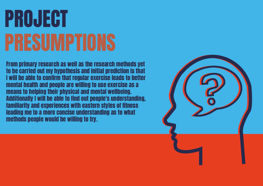# PROJECT PRESUMPTIONS

From primary research as well as the research methods yet to be carried out my hypothesis and initial prediction is that I will be able to confirm that regular exercise leads to better mental health and people are willing to use exercise as a means to helping their physical and mental wellbeing. Additionally I will be able to find out people's understanding, familiarity and experiences with eastern styles of fitness leading me to a more concise understanding as to what methods people would be willing to try.

![](_page_16_Picture_2.jpeg)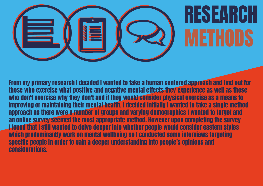# RESEARCH METHODS

![](_page_17_Picture_0.jpeg)

From my primary research I decided I wanted to take a human centered approach and find out for those who exercise what positive and negative mental effects they experience as well as those who don't exercise why they don't and if they would consider physical exercise as a means to improving or maintaining their mental health. I decided initially I wanted to take a single method approach as there were a number of groups and varying demographics I wanted to target and an online survey seemed the most appropriate method. However upon completing the survey I found that I still wanted to delve deeper into whether people would consider eastern styles which predominantly work on mental wellbeing so I conducted some interviews targeting specific people in order to gain a deeper understanding into people's opinions and considerations.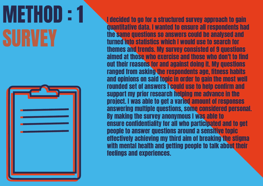# METHOD : 1 SURVEY

![](_page_18_Picture_1.jpeg)

I decided to go for a structured survey approach to gain quantitative data. I wanted to ensure all respondents had the same questions so answers could be analysed and turned into statistics which I would use to search for themes and trends. My survey consisted of 9 questions aimed at those who exercise and those who don't to find out their reasons for and against doing it. My questions ranged from asking the respondents age, fitness habits and opinions on said topic in order to gain the most well rounded set of answers I could use to help confirm and support my prior research helping me advance in the project. I was able to get a varied amount of responses answering multiple questions, some considered personal. By making the survey anonymous I was able to ensure confidentiality for all who participated and to get people to answer questions around a sensitive topic effectively achieving my third aim of breaking the stigma with mental health and getting people to talk about their feelings and experiences.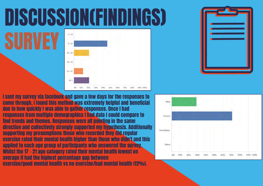# DISCUSSION(FINDINGS)

SURVEY

![](_page_19_Figure_1.jpeg)

I sent my survey via facebook and gave a few days for the responses to come through. I found this method was extremely helpful and beneficial due to how quickly I was able to gather responses. Once I had responses from multiple demographics I had data I could compare to find trends and themes. Responses were all pointing in the same direction and collectively strongly supported my hypothesis. Additionally supporting my presumptions those who recorded they did regular exercise rated their mental health higher than those who didn't and this applied to each age group of participants who answered the survey. Whilst the 17 - 21 age category rated their mental health lowest on average it had the highest percentage gap between exercise/good mental health vs no exercise/bad mental health (12%).

![](_page_19_Picture_3.jpeg)

![](_page_19_Picture_5.jpeg)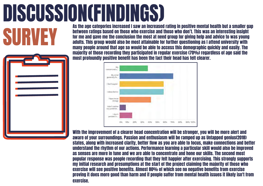# **DISCUSSION(FINDINGS)**<br>As the age categories increased I saw an increased rating in positive mental health but a smaller gap

As the age categories increased I saw an increased rating in positive mental health but a smaller gap<br>between ratings based on those who exercise and those who don't. This was an interesting insight<br>for me and gave me the between ratings based on those who exercise and those who don't. This was an interesting insight for me and gave me the conclusion the most at need group for giving help and advice to was young adults. This group would also be most attainable for further questioning as I attend university with many people around that age so would be able to access this demographic quickly and easily. The majority of those recording they participated in regular exercise (70%) regardless of age said the most profoundly positive benefit has been the fact their head has felt clearer.

![](_page_20_Figure_2.jpeg)

With the improvement of a clearer head concentration will be stronger, you will be more alert and aware of your surroundings. Passion and enthusiasm will be ramped up as Untapped genius(2018) states, along with increased clarity, better flow as you are able to focus, make connections and better understand the rhythm of our actions. Performance learning a particular skill would also be improved as senses are more in tune and we are able to concentrate and hone our skills. The second most popular response was people recording that they felt happier after exercising. This strongly supports my initial research and presumptions at the start of the project claiming the majority of those who exercise will see positive benefits. Almost 80% of which see no negative benefits from exercise proving it does more good than harm and if people suffer from mental health issues it likely isn't from exercise.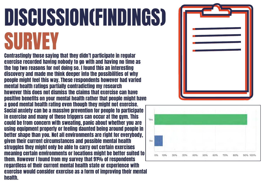# DISCUSSION(FINDINGS) SURVEY

Contrastingly those saying that they didn't participate in regular exercise recorded having nobody to go with and having no time as the top two reasons for not doing so. I found this an interesting discovery and made me think deeper into the possibilities of why people might feel this way. These respondents however had varied mental health ratings partially contradicting my research however this does not dismiss the claims that exercise can have positive benefits on your mental health rather that people might have a good mental health rating even though they might not exercise. Social anxiety can be a massive prevention for people to participate in exercise and many of these triggers can occur at the gym. This could be from concern with sweating, panic about whether you are using equipment properly or feeling daunted being around people in better shape than you. Not all environments are right for everybody, given their current circumstances and possible mental health struggles they might only be able to carry out certain exercises meaning certain environments or locations might be better suited to them. However I found from my survey that 91% of respondents regardless of their current mental health state or experience with exercise would consider exercise as a form of improving their mental health.

![](_page_21_Figure_2.jpeg)

![](_page_21_Picture_3.jpeg)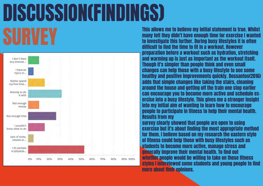# DISCUSSION(FINDINGS)

![](_page_22_Figure_1.jpeg)

This allows me to believe my initial statement is true. Whilst<br>many felt they didn't have enough time for exercise I wanted<br>to investigate this further. During busy lifestyles it is often many felt they didn't have enough time for exercise I wanted to investigate this further. During busy lifestyles it is often difficult to find the time to fit in a workout. However preparation before a workout such as hydration, stretching and warming up is just as important as the workout itself. Though it's simpler than people think and even small changes can help those with a busy lifestyle to see some healthy and positive improvements quickly. Dossantos(2016) adds that simple changes like taking the stairs, cleaning around the house and getting off the train one stop earlier can encourage you to become more active and schedule exercise into a busy lifestyle. This gives me a stronger insight into my initial aim of wanting to learn how to encourage people to participate in fitness to help their mental health. Results from my survey clearly showed that people are open to using exercise but it's about finding the most appropriate method for them. I believe based on my research the eastern style of fitness could help those with busy lifestyles such as students to become more active, manage stress and generally improve their mental health. To find out whether people would be willing to take on these fitness styles I interviewed some students and young people to find more about their opinions.

![](_page_22_Picture_4.jpeg)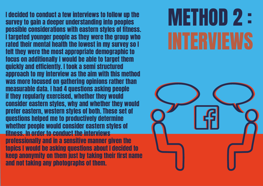# METHOD 2 : INTERVIEWS

I decided to conduct a few interviews to follow up the survey to gain a deeper understanding into peoples possible considerations with eastern styles of fitness. I targeted younger people as they were the group who rated their mental health the lowest in my survey so I felt they were the most appropriate demographic to focus on additionally I would be able to target them quickly and efficiently. I took a semi structured approach to my interview as the aim with this method was more focused on gathering opinions rather than measurable data. I had 4 questions asking people if they regularly exercised, whether they would consider eastern styles, why and whether they would prefer eastern, western styles of both. These set of questions helped me to productively determine whether people would consider eastern styles of fitness. In order to conduct the interviews professionally and in a sensitive manner given the topics I would be asking questions about I decided to keep anonymity on them just by taking their first name and not taking any photographs of them.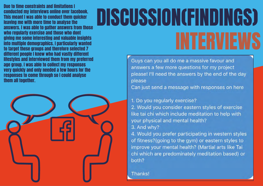# DISCUSSION(FINDINGS) INTERVIEWS

Guys can you all do me a massive favour and answers a few more questions for my project please! I'll need the answers by the end of the day please

Can just send a message with responses on here

1. Do you regularly exercise? 2. Would you consider eastern styles of exercise like tai chi which include meditation to help with your physical and mental health? 3. And why?

4. Would you prefer participating in western styles of fitness?(going to the gym) or eastern styles to improve your mental health? (Martial arts like Tai chi which are predominately meditation based) or both?

Thanks!

Due to time constraints and limitations I conducted my interviews online over facebook. This meant I was able to conduct them quicker leaving me with more time to analyse the answers. I was able to gather answers from those who regularly exercise and those who dont giving me some interesting and valuable insights into multiple demographics. I particularly wanted to target these groups and therefore selected 7 different people I knew who had vastly different lifestyles and interviewed them from my preferred age group. I was able to collect my responses very quickly and only needed a few hours for the responses to come through so I could analyse them all together.

![](_page_24_Picture_1.jpeg)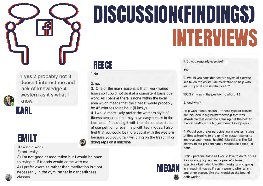![](_page_25_Picture_0.jpeg)

### 1 yes 2 probably not 3 doesn't interest me and lack of knowledge 4 western as it's what I know

![](_page_25_Picture_2.jpeg)

# DISCUSSION(FINDINGS)

# INTERVIEWS

1. Do you regularly exercise?

2. Would you consider eastern styles of exercise like tai chi which include meditation to help with your physical and mental health?

### KARL

![](_page_25_Picture_4.jpeg)

1) twice a week

2) not really

3) I'm not good at meditation but I would be open to trying it if friends would come with me 4) I prefer exercise rather than meditation but not necessarily in the gym, rather in dance/fitness classes

REECE

3. One of the main reasons is that I work varied

work. As I believe there is none within the local

be 45 minutes to an hour (if lucky).

doing reps on a machine

hours so I could not do it at a consistent basis due

MEGAN

area which means that the closest would probably

Yes.

4. I would more likely prefer the western style of

fitness because I find they have easy access in the

100% if I was in the position to afford it!

local area. Plus doing it with friends could add a bit

3. And why?

of competition or even help with techniques. I also

Help with mental health - if those type of classes are included in a gym membership that was affordable that would be amazing but the help to mental health is the biggest benefit in my eyes

find that you could be more social with the western

4. Would you prefer participating in western styles of fitness?(going to the gym) or eastern styles to improve your mental health? (Martial arts like Tai chi which are predominately meditation based) or both?

because you could talk will bring on the treadmill or

Both - personal taste as I would love to do tai chi as it's more a group and more peaceful form of exercise - but I also love lifting weights and going in a treadmill too so if a gym were to offer tai chi and other classes like that would be the best of both worlds

1 No

![](_page_25_Picture_17.jpeg)

 $2. no.$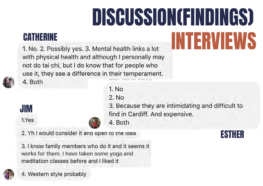# DISCUSSION(FINDINGS)

CATHERINE<br>1. No. 2. Possibly yes. 3. Mental health links a lot **THERVIEW** with physical health and although I personally may not do tai chi, but I do know that for people who use it, they see a difference in their temperament.

4. Both

JIM

1.Yes

1. No 2. No 3. Because they are intimidating and difficult to find in Cardiff. And expensive. 4. Both

2. Yh I would consider it and open to the idea

3. I know family members who do it and it seems it works for them. I have taken some yoga and meditation classes before and I liked it

![](_page_26_Picture_7.jpeg)

### ESTHER

4. Western style probably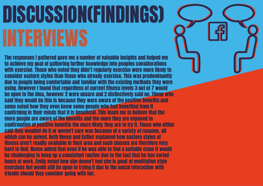# DISCUSSION(FINDINGS) INTERVIEWS

The responses I gathered gave me a number of valuable insights and helped me to achieve my goal of gathering further knowledge into peoples considerations with exercise. Those who noted they didn't regularly exercise were more likely to consider eastern styles than those who already exercise. This was predominantly due to people being comfortable and familiar with the existing methods they were using. However I found that regardless of current fitness levels 3 out of 7 would be open to the idea, however 2 were unsure and 2 distinctively said no. Those who said they would do this is because they were aware of the positive benefits and some noted how they even knew some people who had benefited from it confirming in their minds that it is beneficial. This leads me to believe that the more people are aware of the benefits and the more they are exposed to confirmation of positive benefits the more likely they are to try it. Those who either said they wouldnt do it or weren't sure was because of a variety of reasons, all which can be solved. Both Reece and Esther explained how eastern styles of fitness aren't readily available in their area and such classes are therefore very hard to find. Reece added that even if he was able to find a suitable class it would be challenging to keep up a consistent routine due to the fact that he has varied hours at work. Emily noted how she doesn't feel she is good at meditation style exercises but would still be open to trying it due to the social interaction with friends should they consider going with her.

![](_page_27_Picture_2.jpeg)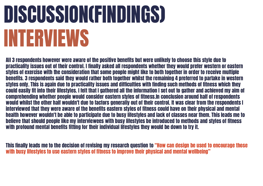# DISCUSSION(FINDINGS) INTERVIEWS

This finally leads me to the decision of revising my research question to "How can design be used to encourage those with busy lifestyles to use eastern styles of fitness to improve their physical and mental wellbeing"

All 3 respondents however were aware of the positive benefits but were unlikely to choose this style due to practicality issues out of their control. I finally asked all respondents whether they would prefer western or eastern styles of exercise with the consideration that some people might like to both together in order to receive multiple benefits. 3 respondents said they would rather both together whilst the remaining 4 preferred to partake in western styles only. This is again due to practicality issues and difficulties with finding such methods of fitness which they could easily fit into their lifestyles. I felt that I gathered all the information I set out to gather and achieved my aim of comprehending whether people would consider eastern styles of fitness.In conclusion around half of respondents would whilst the other half wouldn't due to factors generally out of their control. It was clear from the respondents I interviewed that they were aware of the benefits eastern styles of fitness could have on their physical and mental health however wouldn't be able to participate due to busy lifestyles and lack of classes near them. This leads me to believe that should people like my interviewees with busy lifestyles be introduced to methods and styles of fitness with profound mental benefits fitting for their individual lifestyles they would be down to try it.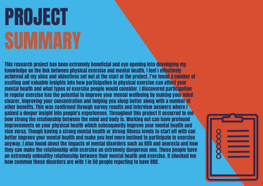# PROJECT SUMMARY

This research project has been extremely beneficial and eye opening into developing my knowledge on the link between physical exercise and mental health. I feel I effectively achieved all my aims and objectives set out at the start of the project. I've found a number of exciting and valuable insights into how participation in physical exercise can affect your mental health and what types of exercise people would consider. I discovered participation in regular exercise has the potential to improve your mental wellbeing by making your mind clearer, improving your concentration and helping you sleep better along with a number of other benefits. This was confirmed through survey results and interview answers where I gained a deeper insight into people's experiences. Throughout this project it occurred to me how strong the relationship between the mind and body is. Working out can have profound improvements on your physical health which subsequently improve your mental health and vice versa. Though having a strong mental health or strong fitness levels to start off with can better improve your mental health and make you feel more inclined to participate in exercise anyway. I also found about the impacts of mental disorders such as BDD and anorexia and how they can make the relationship with exercise an extremely dangerous one. These people have an extremely unhealthy relationship between their mental health and exercise. It shocked me how common these disorders are with 1 in 50 people reporting to have BDD.

![](_page_29_Picture_2.jpeg)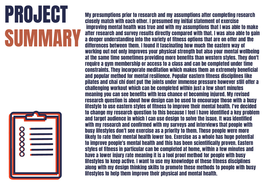# PROJECT SUMMARY

![](_page_30_Picture_1.jpeg)

My presumptions prior to research and my assumptions after completing research closely match with each other. I presumed my initial statement of exercise improving mental health was true and with my assumptions that I was able to make after research and survey results directly compared with that. I was also able to gain a deeper understanding into the variety of fitness options that are on offer and the differences between them. I found it fascinating how much the eastern way of working out not only improves your physical strength but also your mental wellbeing at the same time sometimes providing more benefits than western styles. They don't require a gym membership or access to a class and can be completed under time constraints. They incorporate meditation which makes them an extremely beneficial and popular method for mental resilience. Popular eastern fitness disciplines like pilates and chai chi dont put the joints under immense pressure however still offer a challenging workout which can be completed within just a few short minutes meaning you can see benefits with less chance of becoming injured. My revised research question is about how design can be used to encourage those with a busy lifestyle to use eastern styles of fitness to improve their mental health. I've decided to change my research question to this because I feel I have identified a key problem and target audience in which I can use design to solve the issue. It was identified with my research and confirmed with my surveys and interviews that people with busy lifestyles don't see exercise as a priority to them. These people were more likely to rate their mental health lower too. Exercise as a whole has huge potential to improve people's mental health and this has been scientifically proven. Eastern styles of fitness in particular can be completed at home, within a few minutes and have a lower injury rate meaning it is a fool proof method for people with busy lifestyles to keep active. I want to use my knowledge of these fitness disciplines along with my design thinking skills to promote these methods to people with busy lifestyles to help them improve their physical and mental health.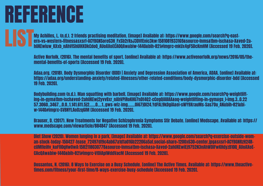# REFERENCE

LIST My Achilles, L. (n.d.). 2 friends practising meditation. [image] Available at: https://www.google.com/search?q=east-<br>| ern+vs+western+fitness&sxsrf=ACYBGNSoreG3H\_FxSb2rKsJ3DVfEnic3kw:1581081933169&source=Inms&tbm=isch ern+vs+western+fitness&sxsrf=ACYBGNSoreG3H\_FxSb2rKsJ3DVfEnic3kw:1581081933169&source=lnms&tbm=isch&sa=X&ved=2ahUKEwiuw\_KXxb\_nAhVfShUIHXDkCdoQ\_AUoAXoECA0QAw&biw=1440&bih=821#imgrc=mkUx4gF5DcKmHM [Accessed 19 Feb. 2020].

> Active Norfolk. (2016). The mental benefits of sport. [online] Available at: https://www.activenorfolk.org/news/2016/05/themental-benefits-of-sports [Accessed 19 Feb. 2020].

Adaa.org. (2018). Body Dysmorphic Disorder (BDD) | Anxiety and Depression Association of America, ADAA. [online] Available at: https://adaa.org/understanding-anxiety/related-illnesses/other-related-conditions/body-dysmorphic-disorder-bdd [Accessed 19 Feb. 2020].

Bodybuilding.com (n.d.). Man squatting with barbell. [image] Available at: https://www.google.com/search?q=weightlifting+in+gym&tbm=isch&ved=2ahUKEwj2yvvBxr\_nAhVPiRoKHU7nDt4Q2-cCegQIABAA&oq=weightlifting+in+gym&gs\_l=img.3..0.22 57.3060..3467...0.0..1.141.611.5j2......0....1..gws-wiz-img.......0i67j0i24.YdFAL9kDgiA&ei=sWY9XrauMs-Sas7Ou\_AN&bih=821&biw=1440#imgrc=SVBNYLAoDzq6IM [Accessed 19 Feb. 2020].

Brauser, D. (2017). New Treatments for Negative Schizophrenia Symptoms Stir Debate. [online] Medscape. Available at: https:// www.medscape.com/viewarticle/884847 [Accessed 19 Feb. 2020].

Diet Show (2020). Women lunging in a park. [image] Available at: https://www.google.com/search?q=exercise-outside-woman-stock-today-150427-tease\_72497df9c4ab67a1d1a016b22206a5af.social+share+1200x630+center.jpg&sxsrf=ACYBGNRzH24RcUMfIeiHv\_koFfl0qHwOwA:1582118030778&source=lnms&tbm=isch&sa=X&ved=2ahUKEwiEj9752N3nAhWDlFwKHdyzB10Q\_AUoAXoE-CAcQAw&biw=1440&bih=821#imgrc=VfDiAplWddVacM [Accessed 19 Feb. 2020].

Dossantos, N. (2016). 8 Ways to Exercise on a Busy Schedule. [online] The Active Times. Available at: https://www.theactivetimes.com/fitness/your-first-time/8-ways-exercise-busy-schedule [Accessed 19 Feb. 2020].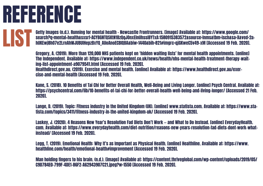# REFERENCE

Getty Images (n.d.). Running for mental health - Newcastle Frontrunners. [image] Available at: https://www.google.com/ search?q=mental+health&sxsrf=ACYBGNTQSKtN1BzQqJOnxElnUhssIBYTxA:1580915383572&source=lnms&tbm=isch&sa=X&ved=2ahUKEwj8hO7e2LrnAhWJUBUIHepzBxYQ\_AUoAnoECBIQBA&biw=1440&bih=821#imgrc=qjGKweC5v49-xM [Accessed 19 Feb. 2020]. **LIS** 

> Gregory, A. (2019). More than 120,000 NHS patients kept on 'hidden waiting lists' for mental health appointments. [online] The Independent. Available at: https://www.independent.co.uk/news/health/nhs-mental-health-treatment-therapy-waiting-list-appointment-a9079541.html [Accessed 19 Feb. 2020]. Healthdirect.gov.au. (2019). Exercise and mental health. [online] Available at: https://www.healthdirect.gov.au/exercise-and-mental-health [Accessed 19 Feb. 2020].

Kane, S. (2018). 10 Benefits of Tai Chi for Better Overall Health, Well-Being and Living Longer. [online] Psych Central. Available at: https://psychcentral.com/lib/10-benefits-of-tai-chi-for-better-overall-health-well-being-and-living-longer/ [Accessed 21 Feb. 2020].

Lange, D. (2019). Topic: Fitness industry in the United Kingdom (UK). [online] www.statista.com. Available at: https://www.statista.com/topics/3411/fitness-industry-in-the-united-kingdom-uk/ [Accessed 19 Feb. 2020].

Laskey, J. (2020). 4 Reasons New Year's Resolution Fad Diets Don't Work — and What to Do Instead. [online] EverydayHealth. com. Available at: https://www.everydayhealth.com/diet-nutrition/reasons-new-years-resolution-fad-diets-dont-work-whatinstead/ [Accessed 19 Feb. 2020].

Legg, T. (2019). Emotional Health: Why It's as Important as Physical Health. [online] Healthline. Available at: https://www. healthline.com/health/emotional-health#improvement [Accessed 19 Feb. 2020].

Man holding fingers to his brain. (n.d.). [image] Available at: https://content.thriveglobal.com/wp-content/uploads/2019/05/ C9D784E0-799F-4DE1-86F2-A62943907C21.jpeg?w=1550 [Accessed 19 Feb. 2020].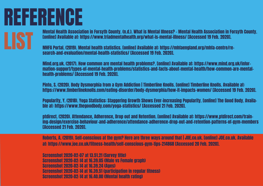Mental Health Association in Forsyth County. (n.d.). What is Mental Illness? - Mental Health Association in Forsyth County. [online] Available at: https://www.triadmentalhealth.org/what-is-mental-illness/ [Accessed 19 Feb. 2020].

MHFA Portal. (2019). Mental health statistics. [online] Available at: https://mhfaengland.org/mhfa-centre/research-and-evaluation/mental-health-statistics/ [Accessed 19 Feb. 2020].

Mind.org.uk. (2017). How common are mental health problems?. [online] Available at: https://www.mind.org.uk/information-support/types-of-mental-health-problems/statistics-and-facts-about-mental-health/how-common-are-mentalhealth-problems/ [Accessed 19 Feb. 2020].

Pinto, S. (2020). Body Dysmorphia from a Gym Addiction | Timberline Knolls. [online] Timberline Knolls. Available at: https://www.timberlineknolls.com/eating-disorder/body-dysmorphia/how-it-impacts-women/ [Accessed 19 Feb. 2020].

Popularity, Y. (2018). Yoga Statistics: Staggering Growth Shows Ever-increasing Popularity. [online] The Good Body. Available at: https://www.thegoodbody.com/yoga-statistics/ [Accessed 21 Feb. 2020].

ptdirect. (2020). Attendance, Adherence, Drop out and Retention. [online] Available at: https://www.ptdirect.com/training-design/exercise-behaviour-and-adherence/attendance-adherence-drop-out-and-retention-patterns-of-gym-members [Accessed 21 Feb. 2020].

Roberts, A. (2019). Self-conscious at the gym? Here are three ways around that | JOE.co.uk. [online] JOE.co.uk. Available at: https://www.joe.co.uk/fitness-health/self-conscious-gym-tips-214868 [Accessed 20 Feb. 2020].

Screenshot 2020-02-07 at 13.51.21 (Survey title) Screenshot 2020-02-14 at 16.39.05 (Male vs Female graph) Screenshot 2020-02-14 at 16.39.24 (Ages) Screenshot 2020-02-14 at 16.39.51 (participation in regular fitness) Screenshot 2020-02-14 at 16.40.00 (Mental health rating)

# REFERENCE

LIST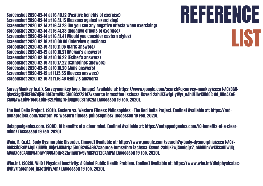Screenshot 2020-02-14 at 16.40.12 (Positive benefits of exercise) Screenshot 2020-02-14 at 16.41.15 (Reasons against exercising) Screenshot 2020-02-14 at 16.41.23 (Do you see any negative effects when exercising) Screenshot 2020-02-14 at 16.41.33 (Negative effects of exercise) Screenshot 2020-02-14 at 16.41.41 (Would you consider eastern styles) Screenshot 2020-02-19 at 10.09.00 (Interview questions) Screenshot 2020-02-19 at 10.11.05 (Karls answers) Screenshot 2020-02-19 at 10.15.21 (Megan's answers) Screenshot 2020-02-19 at 10.16.22 (Esther's answers) Screenshot 2020-02-19 at 10.17.22 (Catherines answers) Screenshot 2020-02-19 at 10.18.20 (Jims answers) Screenshot 2020-02-19 at 11.15.55 (Reeces answers) Screenshot 2020-02-19 at 11.16.46 (Emily's answers)

Who.int. (2020). WHO | Physical Inactivity: A Global Public Health Problem. [online] Available at: https://www.who.int/dietphysicalactivity/factsheet\_inactivity/en/ [Accessed 19 Feb. 2020].

![](_page_34_Picture_1.jpeg)

The Red Delta Project. (2011). Eastern vs. Western Fitness Philosophies - The Red Delta Project. [online] Available at: https://reddeltaproject.com/eastern-vs-western-fitness-philosophies/ [Accessed 19 Feb. 2020].

Untappedgenius.com. (2018). 10 benefits of a clear mind. [online] Available at: https://untappedgenius.com/10-benefits-of-a-clearmind/ [Accessed 19 Feb. 2020].

Wain, R. (n.d.). Body Dysmorphic Disorder. [image] Available at: https://www.google.com/search?q=body+dysmorphia&sxsrf=ACY-BGNSSiCFaM1JqDXUUWb\_4Bje1JKDArQ:1581082454697&source=lnms&tbm=isch&sa=X&ved=2ahUKEwj4m8qQx7\_nAhUDnVwKHSx0DWUQ\_ AUoAXoECA4QAw&biw=1440&bih=821#imgrc=9VMN3y2T2CAMPM [Accessed 19 Feb. 2020].

# REFERENCE LIST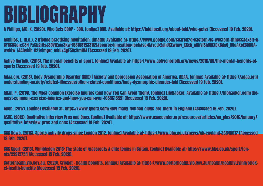A Phillips, MD, K. (2020). Who Gets BDD? - BDD. [online] BDD. Available at: https://bdd.iocdf.org/about-bdd/who-gets/ [Accessed 19 Feb. 2020].

n :<br>Acl<br>CYl Achilles, L. (n.d.). 2 friends practising meditation. [image] Available at: https://www.google.com/search?q=eastern+vs+western+fitness&sxsrf=A-CYBGNSoreG3H\_FxSb2rKsJ3DVfEnic3kw:1581081933169&source=lnms&tbm=isch&sa=X&ved=2ahUKEwiuw\_KXxb\_nAhVfShUIHXDkCdoQ\_AUoAXoECA0QAw&biw=1440&bih=821#imgrc=mkUx4gF5DcKmHM [Accessed 19 Feb. 2020].

Active Norfolk. (2016). The mental benefits of sport. [online] Available at: https://www.activenorfolk.org/news/2016/05/the-mental-benefits-ofsports [Accessed 19 Feb. 2020].

Adaa.org. (2018). Body Dysmorphic Disorder (BDD) | Anxiety and Depression Association of America, ADAA. [online] Available at: https://adaa.org/ understanding-anxiety/related-illnesses/other-related-conditions/body-dysmorphic-disorder-bdd [Accessed 19 Feb. 2020].

Allan, P. (2014). The Most Common Exercise Injuries (and How You Can Avoid Them). [online] Lifehacker. Available at: https://lifehacker.com/themost-common-exercise-injuries-and-how-you-can-avoi-1659615551 [Accessed 19 Feb. 2020].

Anon, (2017). [online] Available at: https://www.quora.com/How-many-football-clubs-are-there-in-England [Accessed 19 Feb. 2020].

ASAE. (2019). Qualitative Interview Pros and Cons. [online] Available at: https://www.asaecenter.org/resources/articles/an\_plus/2016/january/ qualitative-interview-pros-and-cons [Accessed 19 Feb. 2020].

BBC News. (2016). Sports activity drops since London 2012. [online] Available at: https://www.bbc.co.uk/news/uk-england-36540017 [Accessed 19 Feb. 2020].

BBC Sport. (2013). Wimbledon 2013: The state of grassroots & elite tennis in Britain. [online] Available at: https://www.bbc.co.uk/sport/tennis/22912754 [Accessed 19 Feb. 2020].

Betterhealth.vic.gov.au. (2020). Cricket - health benefits. [online] Available at: https://www.betterhealth.vic.gov.au/health/HealthyLiving/cricket-health-benefits [Accessed 19 Feb. 2020].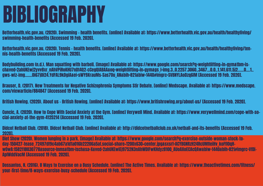Betterhealth.vic.gov.au. (2020). Tennis – health benefits. [online] Available at: https://www.betterhealth.vic.gov.au/health/healthyliving/tennis-health-benefits [Accessed 19 Feb. 2020].

Bodybuilding.com (n.d.). Man squatting with barbell. [image] Available at: https://www.google.com/search?q=weightlifting+in+gym&tbm=isch&ved=2ahUKEwj2yvvBxr\_nAhVPiRoKHU7nDt4Q2-cCegQIABAA&oq=weightlifting+in+gym&gs\_l=img.3..0.2257.3060..3467...0.0..1.141.611.5j2......0....1.. gws-wiz-img.......0i67j0i24.YdFAL9kDgiA&ei=sWY9XrauMs-Sas7Ou\_AN&bih=821&biw=1440#imgrc=SVBNYLAoDzq6IM [Accessed 19 Feb. 2020].

Brauser, D. (2017). New Treatments for Negative Schizophrenia Symptoms Stir Debate. [online] Medscape. Available at: https://www.medscape. com/viewarticle/884847 [Accessed 19 Feb. 2020].

British Rowing. (2020). About us - British Rowing. [online] Available at: https://www.britishrowing.org/about-us/ [Accessed 19 Feb. 2020].

Cuncic, A. (2020). How to Cope With Social Anxiety at the Gym. [online] Verywell Mind. Available at: https://www.verywellmind.com/cope-with-social-anxiety-at-the-gym-4125214 [Accessed 19 Feb. 2020].

Didcot Netball Club. (2018). Didcot Netball Club. [online] Available at: http://didcotnetballclub.co.uk/netball-and-its-benefits [Accessed 19 Feb. 2020].

Diet Show (2020). Women lunging in a park. [image] Available at: https://www.google.com/search?q=exercise-outside-woman-stock-today-150427-tease\_72497df9c4ab67a1d1a016b22206a5af.social+share+1200x630+center.jpg&sxsrf=ACYBGNRzH24RcUMfIeiHv\_koFfl0qHwOwA:1582118030778&source=lnms&tbm=isch&sa=X&ved=2ahUKEwiEj9752N3nAhWDlFwKHdyzB10Q\_AUoAXoECAcQAw&biw=1440&bih=821#imgrc=VfDi-AplWddVacM [Accessed 19 Feb. 2020].

Dossantos, N. (2016). 8 Ways to Exercise on a Busy Schedule. [online] The Active Times. Available at: https://www.theactivetimes.com/fitness/ your-first-time/8-ways-exercise-busy-schedule [Accessed 19 Feb. 2020].

# BIBLIOGRAPHY

Betterhealth.vic.gov.au. (2020). Swimming - health benefits. [online] Available at: https://www.betterhealth.vic.gov.au/health/healthyliving/ swimming-health-benefits [Accessed 19 Feb. 2020]. Bet<br>sw<br>Bet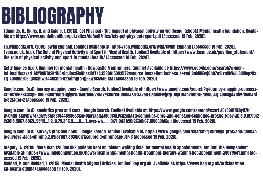Edmunds, D., Biggs, H. and Goldie, I. (2013). Get Physical - The impact of physical activity on wellbeing. [ebook] Mental health foundation. Available at: https://www.mentalhealth.org.uk/sites/default/files/lets-get-physical-report.pdf [Accessed 19 Feb. 2020].

b<br>E<br>E En.wikipedia.org. (2019). Swim England. [online] Available at: https://en.wikipedia.org/wiki/Swim\_England [Accessed 19 Feb. 2020]. Fsem.ac.uk. (n.d). The Role of Physical Activity and Sport in Mental Health. [online] Available at: https://www.fsem.ac.uk/position\_statement/ the-role-of-physical-activity-and-sport-in-mental-health/ [Accessed 19 Feb. 2020].

Getty Images (n.d.). Running for mental health - Newcastle Frontrunners. [image] Available at: https://www.google.com/search?q=mental+health&sxsrf=ACYBGNTQSKtN1BzQqJOnxElnUhssIBYTxA:1580915383572&source=lnms&tbm=isch&sa=X&ved=2ahUKEwj8hO7e2LrnAhWJUBUIHepzBx-YQ\_AUoAnoECBIQBA&biw=1440&bih=821#imgrc=qjGKweC5v49-xM [Accessed 19 Feb. 2020].

Google.com. (n.d). journey mapping cons - Google Search. [online] Available at: https://www.google.com/search?q=journey+mapping+cons&sxsrf=ACYBGNSX3xlpH-dkuPBuAtt8tQtEGgiyDw:1580146526517&source=lnms&sa=X&ved=0ahUKEwjpzp\_DqKTnAhVDtnEKHdtWD5AQ\_AUIDSgA&biw=1440&bih=821&dpr=2 [Accessed 19 Feb. 2020].

Google.com. (n.d). semiotics pros and cons - Google Search. [online] Available at: https://www.google.com/search?sxsrf=ACYBGNT4EByH7hijy-0NdQ\_skdybwF4KQA%3A1580144698653&ei=OhgvXsfMJ8uO8gLVsbzoBA&q=semiotics+pros+and+cons&oq=semiotics+pro&gs\_l=psy-ab.3.0.0l7j0i2 2i30l3.5867.8069..9845...1.2..0.75.346.5......0....1..gws-wiz.......0i71j0i131i20i263j0i67.f8UQGOblGug [Accessed 19 Feb. 2020].

Google.com. (n.d). surveys pros and cons - Google Search. [online] Available at: https://www.google.com/search?q=surveys+pros+and+cons&oq=surveys+&aqs=chrome.2.69i57j0l7.3936j0j7&sourceid=chrome&ie=UTF-8 [Accessed 19 Feb. 2020].

Gregory, A. (2019). More than 120,000 NHS patients kept on 'hidden waiting lists' for mental health appointments. [online] The Independent. Available at: https://www.independent.co.uk/news/health/nhs-mental-health-treatment-therapy-waiting-list-appointment-a9079541.html [Accessed 19 Feb. 2020].

Haddad, P. and Haddad, I. (2015). Mental Health Stigma | Articles. [online] Bap.org.uk. Available at: https://www.bap.org.uk/articles/mental-health-stigma/ [Accessed 19 Feb. 2020].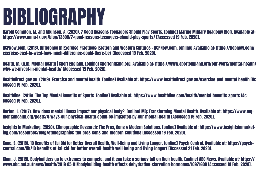Harold Compton, M. and Atkinson, A. (2020). 7 Good Reasons Teenagers Should Play Sports. [online] Marine Military Academy Blog. Available at: https://www.mma-tx.org/blog/13308/7-good-reasons-teenagers-should-play-sports/ [Accessed 19 Feb. 2020].

na<br>htt<br>^^ HCPNow.com. (2018). Difference In Exercise Practices: Eastern and Western Cultures - HCPNow.com. [online] Available at: https://hcpnow.com/ exercise-east-to-west-how-much-difference-could-there-be/ [Accessed 19 Feb. 2020].

health, M. (n.d). Mental health | Sport England. [online] Sportengland.org. Available at: https://www.sportengland.org/our-work/mental-health/ why-we-invest-in-mental-health/ [Accessed 19 Feb. 2020].

Healthdirect.gov.au. (2019). Exercise and mental health. [online] Available at: https://www.healthdirect.gov.au/exercise-and-mental-health [Accessed 19 Feb. 2020].

Healthline. (2016). The Top Mental Benefits of Sports. [online] Available at: https://www.healthline.com/health/mental-benefits-sports [Accessed 19 Feb. 2020].

Horton, L. (2017). How does mental illness impact our physical body?. [online] MQ: Transforming Mental Health. Available at: https://www.mqmentalhealth.org/posts/4-ways-our-physical-health-could-be-impacted-by-our-mental-health [Accessed 19 Feb. 2020].

Insights In Marketing. (2020). Ethnographic Research: The Pros, Cons & Modern Solutions. [online] Available at: https://www.insightsinmarketing.com/resources/blog/ethnographies-the-pros-cons-and-modern-solutions [Accessed 19 Feb. 2020].

Kane, S. (2018). 10 Benefits of Tai Chi for Better Overall Health, Well-Being and Living Longer. [online] Psych Central. Available at: https://psychcentral.com/lib/10-benefits-of-tai-chi-for-better-overall-health-well-being-and-living-longer/ [Accessed 21 Feb. 2020].

Khan, J. (2019). Bodybuilders go to extremes to compete, and it can take a serious toll on their health. [online] ABC News. Available at: https:// www.abc.net.au/news/health/2019-05-01/bodybuilding-health-effects-dehydration-starvation-hormones/10971608 [Accessed 19 Feb. 2020].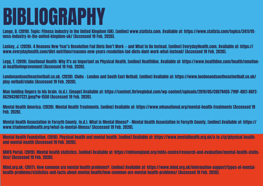Lange, D. (2019). Topic: Fitness industry in the United Kingdom (UK). [online] www.statista.com. Available at: https://www.statista.com/topics/3411/fitness-industry-in-the-united-kingdom-uk/ [Accessed 19 Feb. 2020].

<u>-a:</u><br>ne:<br>Las<br>ww Laskey, J. (2020). 4 Reasons New Year's Resolution Fad Diets Don't Work — and What to Do Instead. [online] EverydayHealth.com. Available at: https:// www.everydayhealth.com/diet-nutrition/reasons-new-years-resolution-fad-diets-dont-work-what-instead/ [Accessed 19 Feb. 2020].

Legg, T. (2019). Emotional Health: Why It's as Important as Physical Health. [online] Healthline. Available at: https://www.healthline.com/health/emotional-health#improvement [Accessed 19 Feb. 2020].

Londonandsoutheastnetball.co.uk. (2020). Clubs - London and South East Netball. [online] Available at: https://www.londonandsoutheastnetball.co.uk/ play-netball/clubs [Accessed 19 Feb. 2020].

Man holding fingers to his brain. (n.d.). [image] Available at: https://content.thriveglobal.com/wp-content/uploads/2019/05/C9D784E0-799F-4DE1-86F2- A62943907C21.jpeg?w=1550 [Accessed 19 Feb. 2020].

Mental Health America. (2020). Mental Health Treatments. [online] Available at: https://www.mhanational.org/mental-health-treatments [Accessed 19 Feb. 2020].

Mental Health Association in Forsyth County. (n.d.). What is Mental Illness? - Mental Health Association in Forsyth County. [online] Available at: https:// www.triadmentalhealth.org/what-is-mental-illness/ [Accessed 19 Feb. 2020].

Mental Health Foundation. (2016). Physical health and mental health. [online] Available at: https://www.mentalhealth.org.uk/a-to-z/p/physical-healthand-mental-health [Accessed 19 Feb. 2020].

MHFA Portal. (2019). Mental health statistics. [online] Available at: https://mhfaengland.org/mhfa-centre/research-and-evaluation/mental-health-statistics/ [Accessed 19 Feb. 2020].

Mind.org.uk. (2017). How common are mental health problems?. [online] Available at: https://www.mind.org.uk/information-support/types-of-mentalhealth-problems/statistics-and-facts-about-mental-health/how-common-are-mental-health-problems/ [Accessed 19 Feb. 2020].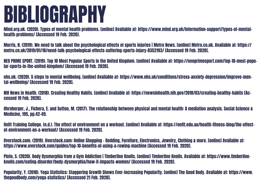Mind.org.uk. (2020). Types of mental health problems. [online] Available at: https://www.mind.org.uk/information-support/types-of-mentalhealth-problems/ [Accessed 19 Feb. 2020].

mi<br>he<br>ma Morris, N. (2019). We need to talk about the psychological effects of sports injuries | Metro News. [online] Metro.co.uk. Available at: https:// metro.co.uk/2019/01/18/need-talk-psychological-effects-suffering-sports-injury-8352193/ [Accessed 19 Feb. 2020].

NEO PRIME SPORT. (2019). Top 10 Most Popular Sports in the United Kingdom. [online] Available at: https://neoprimesport.com/top-10-most-popular-sports-in-the-united-kingdom/ [Accessed 19 Feb. 2020].

nhs.uk. (2020). 5 steps to mental wellbeing. [online] Available at: https://www.nhs.uk/conditions/stress-anxiety-depression/improve-mental-wellbeing/ [Accessed 19 Feb. 2020].

NIH News in Health. (2018). Creating Healthy Habits. [online] Available at: https://newsinhealth.nih.gov/2018/03/creating-healthy-habits [Accessed 19 Feb. 2020].

Ohrnberger, J., Fichera, E. and Sutton, M. (2017). The relationship between physical and mental health: A mediation analysis. Social Science & Medicine, 195, pp.42-49.

Onfit Training College. (n.d.). The effect of environment on a workout. [online] Available at: https://onfit.edu.au/health-fitness-blog/the-effectof-environment-on-a-workout/ [Accessed 19 Feb. 2020].

Overstock.com. (2019). Overstock.com: Online Shopping - Bedding, Furniture, Electronics, Jewelry, Clothing & more. [online] Available at: https://www.overstock.com/guides/top-10-benefits-of-using-a-rowing-machine [Accessed 19 Feb. 2020].

Pinto, S. (2020). Body Dysmorphia from a Gym Addiction | Timberline Knolls. [online] Timberline Knolls. Available at: https://www.timberlineknolls.com/eating-disorder/body-dysmorphia/how-it-impacts-women/ [Accessed 19 Feb. 2020].

Popularity, Y. (2018). Yoga Statistics: Staggering Growth Shows Ever-increasing Popularity. [online] The Good Body. Available at: https://www. thegoodbody.com/yoga-statistics/ [Accessed 21 Feb. 2020].

- 
- 
- 
- 
- 
- 
- 
- 
-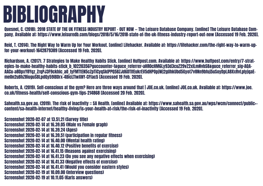Quesnel, C. (2018). 2018 STATE OF THE UK FITNESS INDUSTRY REPORT - OUT NOW — The Leisure Database Company. [online] The Leisure Database Company. Available at: https://www.leisuredb.com/blogs/2018/5/16/2018-state-of-the-uk-fitness-industry-report-out-now [Accessed 19 Feb. 2020].

pa<br>
R<br>
fo Reid, T. (2014). The Right Way to Warm Up for Your Workout. [online] Lifehacker. Available at: https://lifehacker.com/the-right-way-to-warm-upfor-your-workout-1642879389 [Accessed 19 Feb. 2020].

Richardson, A. (2017). 7 Strategies to Make Healthy Habits Stick. [online] Huffpost.com. Available at: https://www.huffpost.com/entry/7-strategies-to-make-healthy-habits-stick\_b\_10220356?guccounter=1&guce\_referrer=aHR0cHM6Ly93d3cuZ29vZ2xlLmNvbS8&guce\_referrer\_sig=AQA-AACu-a8DpxY8Yqz\_ZrqPJ3F9ckhlc\_aO\_fyFMTtEN5cZpTiCyqSkIPPQ5BZJd6DTlfEukrEV5dHPOpjWj2gUhkUbd5Gyot7v8Nn9bfuj5uSoyDpLA8XxRvLpIyjqaEme0n2uBhZ8iuguSBLpdQy59lBDrx-4BicLTIwXNY-CFfac5 [Accessed 19 Feb. 2020].

Roberts, A. (2019). Self-conscious at the gym? Here are three ways around that | JOE.co.uk. [online] JOE.co.uk. Available at: https://www.joe. co.uk/fitness-health/self-conscious-gym-tips-214868 [Accessed 20 Feb. 2020].

Sahealth.sa.gov.au. (2019). The risk of inactivity :: SA Health. [online] Available at: https://www.sahealth.sa.gov.au/wps/wcm/connect/public+ content/sa+health+internet/healthy+living/is+your+health+at+risk/the+risk+of+inactivity [Accessed 19 Feb. 2020].

Screenshot 2020-02-07 at 13.51.21 (Survey title) Screenshot 2020-02-14 at 16.39.05 (Male vs Female graph) Screenshot 2020-02-14 at 16.39.24 (Ages) Screenshot 2020-02-14 at 16.39.51 (participation in regular fitness) Screenshot 2020-02-14 at 16.40.00 (Mental health rating) Screenshot 2020-02-14 at 16.40.12 (Positive benefits of exercise) Screenshot 2020-02-14 at 16.41.15 (Reasons against exercising) Screenshot 2020-02-14 at 16.41.23 (Do you see any negative effects when exercising) Screenshot 2020-02-14 at 16.41.33 (Negative effects of exercise) Screenshot 2020-02-14 at 16.41.41 (Would you consider eastern styles) Screenshot 2020-02-19 at 10.09.00 (Interview questions) Screenshot 2020-02-19 at 10.11.05 (Karls answers)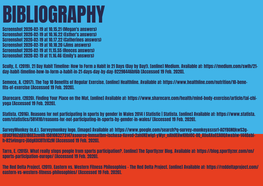sci<br>Sci<br>Sci<br>Sci Screenshot 2020-02-19 at 10.15.21 (Megan's answers) Screenshot 2020-02-19 at 10.16.22 (Esther's answers) Screenshot 2020-02-19 at 10.17.22 (Catherines answers) Screenshot 2020-02-19 at 10.18.20 (Jims answers) Screenshot 2020-02-19 at 11.15.55 (Reeces answers) Screenshot 2020-02-19 at 11.16.46 (Emily's answers)

Scully, E. (2019). 21 Day Habit Timeline: How to Form a Habit in 21 Days (Day by Day!). [online] Medium. Available at: https://medium.com/swlh/21 day-habit-timeline-how-to-form-a-habit-in-21-days-day-by-day-92298446bf6b [Accessed 19 Feb. 2020].

Semeco, A. (2017). The Top 10 Benefits of Regular Exercise. [online] Healthline. Available at: https://www.healthline.com/nutrition/10-benefits-of-exercise [Accessed 19 Feb. 2020].

Sharecare. (2020). Finding Your Place on the Mat. [online] Available at: https://www.sharecare.com/health/mind-body-exercise/article/tai-chiyoga [Accessed 19 Feb. 2020].

Statista. (2016). Reasons for not participating in sports by gender in Wales 2014 I Statistic | Statista. [online] Available at: https://www.statista. com/statistics/581410/reasons-for-not-participating-in-sports-by-gender-in-wales/ [Accessed 19 Feb. 2020].

SurveyMonkey (n.d.). Surveymonkey logo. [image] Available at: https://www.google.com/search?q=survey+monkey&sxsrf=ACYBGNQkwS3gfjEUCFROZdjEG1BGE3zmVA:1581083273147&source=lnms&tbm=isch&sa=X&ved=2ahUKEwigt-yWyr\_nAhUEilwKHblOC-0Q\_AUoAXoECA0QAw&biw=1440&bih=821#imgrc=jUdgKOC8Th1CzM [Accessed 19 Feb. 2020].

Tarro, E. (2015). What really stops people from sports participation?. [online] The Sportlyzer Blog. Available at: https://blog.sportlyzer.com/en/ sports-participation-europe/ [Accessed 19 Feb. 2020].

The Red Delta Project. (2011). Eastern vs. Western Fitness Philosophies - The Red Delta Project. [online] Available at: https://reddeltaproject.com/ eastern-vs-western-fitness-philosophies/ [Accessed 19 Feb. 2020].